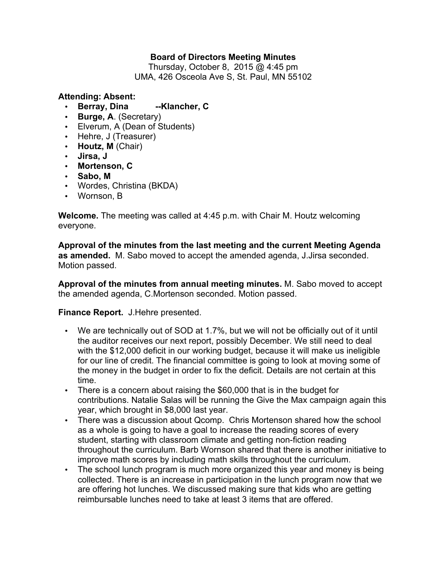## **Board of Directors Meeting Minutes**

Thursday, October 8, 2015 @ 4:45 pm UMA, 426 Osceola Ave S, St. Paul, MN 55102

## **Attending: Absent:**

- **Berray, Dina --Klancher, C**
- **Burge, A**. (Secretary)
- Elverum, A (Dean of Students)
- Hehre, J (Treasurer)
- **Houtz, M** (Chair)
- **Jirsa, J**
- **Mortenson, C**
- **Sabo, M**
- Wordes, Christina (BKDA)
- Wornson, B

**Welcome.** The meeting was called at 4:45 p.m. with Chair M. Houtz welcoming everyone.

**Approval of the minutes from the last meeting and the current Meeting Agenda as amended.** M. Sabo moved to accept the amended agenda, J.Jirsa seconded. Motion passed.

**Approval of the minutes from annual meeting minutes.** M. Sabo moved to accept the amended agenda, C.Mortenson seconded. Motion passed.

## **Finance Report.** J.Hehre presented.

- We are technically out of SOD at 1.7%, but we will not be officially out of it until the auditor receives our next report, possibly December. We still need to deal with the \$12,000 deficit in our working budget, because it will make us ineligible for our line of credit. The financial committee is going to look at moving some of the money in the budget in order to fix the deficit. Details are not certain at this time.
- There is a concern about raising the \$60,000 that is in the budget for contributions. Natalie Salas will be running the Give the Max campaign again this year, which brought in \$8,000 last year.
- There was a discussion about Qcomp. Chris Mortenson shared how the school as a whole is going to have a goal to increase the reading scores of every student, starting with classroom climate and getting non-fiction reading throughout the curriculum. Barb Wornson shared that there is another initiative to improve math scores by including math skills throughout the curriculum.
- The school lunch program is much more organized this year and money is being collected. There is an increase in participation in the lunch program now that we are offering hot lunches. We discussed making sure that kids who are getting reimbursable lunches need to take at least 3 items that are offered.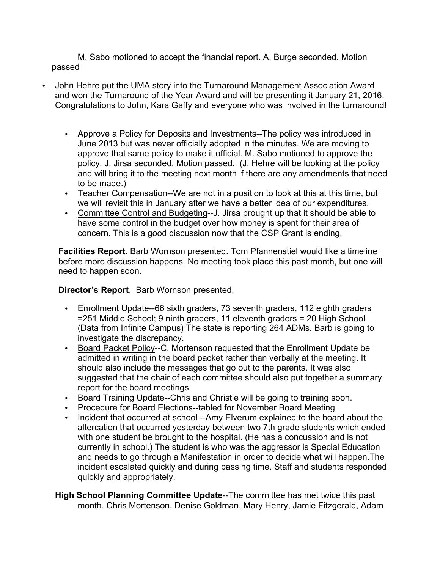M. Sabo motioned to accept the financial report. A. Burge seconded. Motion passed

- John Hehre put the UMA story into the Turnaround Management Association Award and won the Turnaround of the Year Award and will be presenting it January 21, 2016. Congratulations to John, Kara Gaffy and everyone who was involved in the turnaround!
	- Approve a Policy for Deposits and Investments--The policy was introduced in June 2013 but was never officially adopted in the minutes. We are moving to approve that same policy to make it official. M. Sabo motioned to approve the policy. J. Jirsa seconded. Motion passed. (J. Hehre will be looking at the policy and will bring it to the meeting next month if there are any amendments that need to be made.)
	- Teacher Compensation--We are not in a position to look at this at this time, but we will revisit this in January after we have a better idea of our expenditures.
	- Committee Control and Budgeting--J. Jirsa brought up that it should be able to have some control in the budget over how money is spent for their area of concern. This is a good discussion now that the CSP Grant is ending.

**Facilities Report.** Barb Wornson presented. Tom Pfannenstiel would like a timeline before more discussion happens. No meeting took place this past month, but one will need to happen soon.

## **Director's Report**. Barb Wornson presented.

- Enrollment Update--66 sixth graders, 73 seventh graders, 112 eighth graders =251 Middle School; 9 ninth graders, 11 eleventh graders = 20 High School (Data from Infinite Campus) The state is reporting 264 ADMs. Barb is going to investigate the discrepancy.
- Board Packet Policy--C. Mortenson requested that the Enrollment Update be admitted in writing in the board packet rather than verbally at the meeting. It should also include the messages that go out to the parents. It was also suggested that the chair of each committee should also put together a summary report for the board meetings.
- Board Training Update--Chris and Christie will be going to training soon.
- Procedure for Board Elections--tabled for November Board Meeting
- Incident that occurred at school --Amy Elverum explained to the board about the altercation that occurred yesterday between two 7th grade students which ended with one student be brought to the hospital. (He has a concussion and is not currently in school.) The student is who was the aggressor is Special Education and needs to go through a Manifestation in order to decide what will happen.The incident escalated quickly and during passing time. Staff and students responded quickly and appropriately.
- **High School Planning Committee Update**--The committee has met twice this past month. Chris Mortenson, Denise Goldman, Mary Henry, Jamie Fitzgerald, Adam